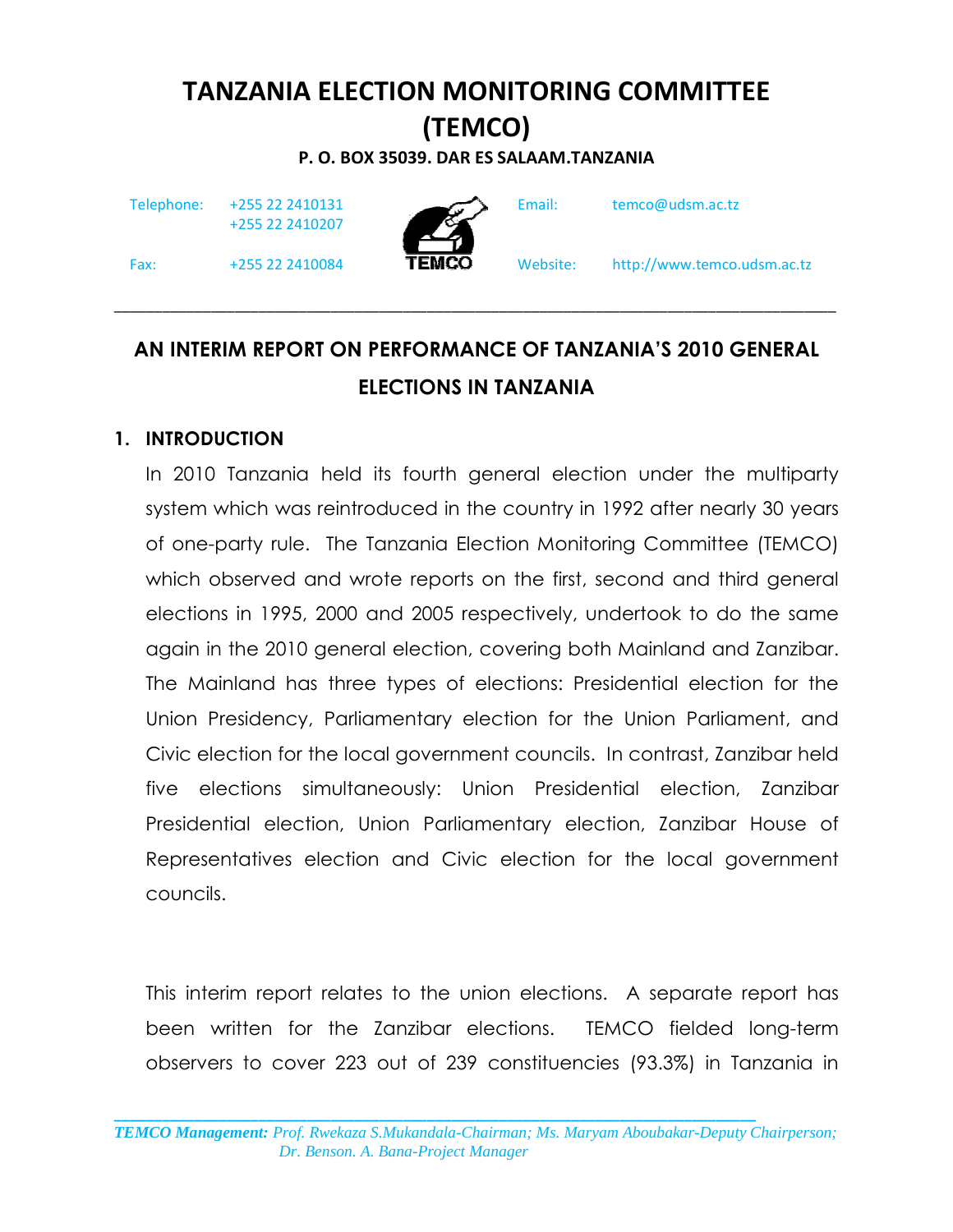# TANZANIA ELECTION MONITORING COMMITTEE (TEMCO)

P. O. BOX 35039. DAR ES SALAAM.TANZANIA

Telephone: +255 22 2410131

+255 22 2410207



Email: temco@udsm.ac.tz

Fax: +255 22 2410084 **TEMCO** Website: http://www.temco.udsm.ac.tz

# AN INTERIM REPORT ON PERFORMANCE OF TANZANIA'S 2010 GENERAL ELECTIONS IN TANZANIA

 $\_$  ,  $\_$  ,  $\_$  ,  $\_$  ,  $\_$  ,  $\_$  ,  $\_$  ,  $\_$  ,  $\_$  ,  $\_$  ,  $\_$  ,  $\_$  ,  $\_$  ,  $\_$  ,  $\_$  ,  $\_$  ,  $\_$  ,  $\_$  ,  $\_$  ,  $\_$ 

#### 1. INTRODUCTION

In 2010 Tanzania held its fourth general election under the multiparty system which was reintroduced in the country in 1992 after nearly 30 years of one-party rule. The Tanzania Election Monitoring Committee (TEMCO) which observed and wrote reports on the first, second and third general elections in 1995, 2000 and 2005 respectively, undertook to do the same again in the 2010 general election, covering both Mainland and Zanzibar. The Mainland has three types of elections: Presidential election for the Union Presidency, Parliamentary election for the Union Parliament, and Civic election for the local government councils. In contrast, Zanzibar held five elections simultaneously: Union Presidential election, Zanzibar Presidential election, Union Parliamentary election, Zanzibar House of Representatives election and Civic election for the local government councils.

This interim report relates to the union elections. A separate report has been written for the Zanzibar elections. TEMCO fielded long-term observers to cover 223 out of 239 constituencies (93.3%) in Tanzania in

\_\_\_\_\_\_\_\_\_\_\_\_\_\_\_\_\_\_\_\_\_\_\_\_\_\_\_\_\_\_\_\_\_\_\_\_\_\_\_\_\_\_\_\_\_\_\_\_\_\_\_\_\_\_\_\_\_\_\_\_\_\_\_\_\_\_\_\_\_\_\_\_\_\_\_\_\_\_\_\_ *TEMCO Management: Prof. Rwekaza S.Mukandala-Chairman; Ms. Maryam Aboubakar-Deputy Chairperson; Dr. Benson. A. Bana-Project Manager*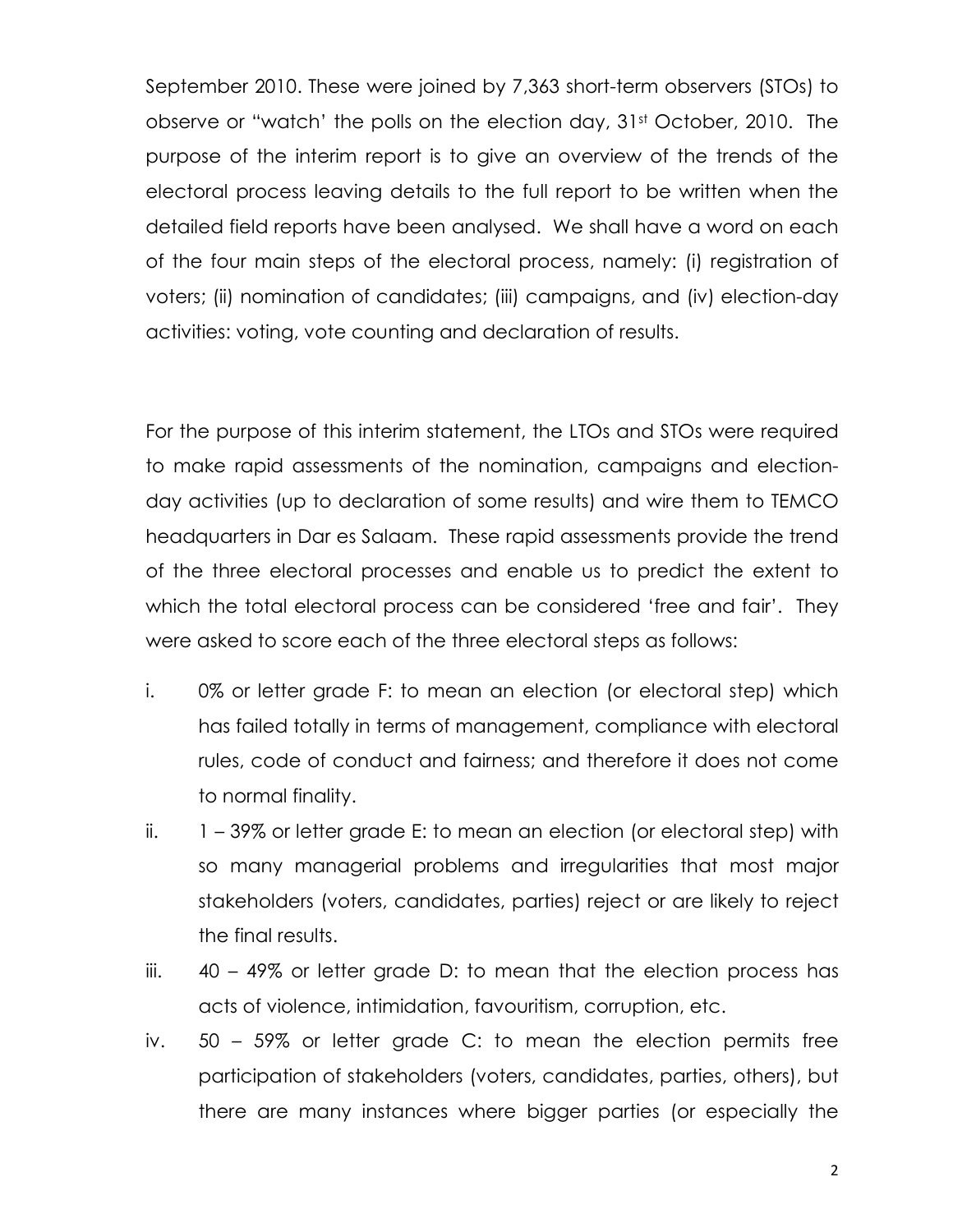September 2010. These were joined by 7,363 short-term observers (STOs) to observe or "watch' the polls on the election day, 31st October, 2010. The purpose of the interim report is to give an overview of the trends of the electoral process leaving details to the full report to be written when the detailed field reports have been analysed. We shall have a word on each of the four main steps of the electoral process, namely: (i) registration of voters; (ii) nomination of candidates; (iii) campaigns, and (iv) election-day activities: voting, vote counting and declaration of results.

For the purpose of this interim statement, the LTOs and STOs were required to make rapid assessments of the nomination, campaigns and electionday activities (up to declaration of some results) and wire them to TEMCO headquarters in Dar es Salaam. These rapid assessments provide the trend of the three electoral processes and enable us to predict the extent to which the total electoral process can be considered 'free and fair'. They were asked to score each of the three electoral steps as follows:

- i. 0% or letter grade F: to mean an election (or electoral step) which has failed totally in terms of management, compliance with electoral rules, code of conduct and fairness; and therefore it does not come to normal finality.
- ii.  $1 39\%$  or letter grade E: to mean an election (or electoral step) with so many managerial problems and irregularities that most major stakeholders (voters, candidates, parties) reject or are likely to reject the final results.
- iii. 40 49% or letter grade D: to mean that the election process has acts of violence, intimidation, favouritism, corruption, etc.
- iv. 50 59% or letter grade C: to mean the election permits free participation of stakeholders (voters, candidates, parties, others), but there are many instances where bigger parties (or especially the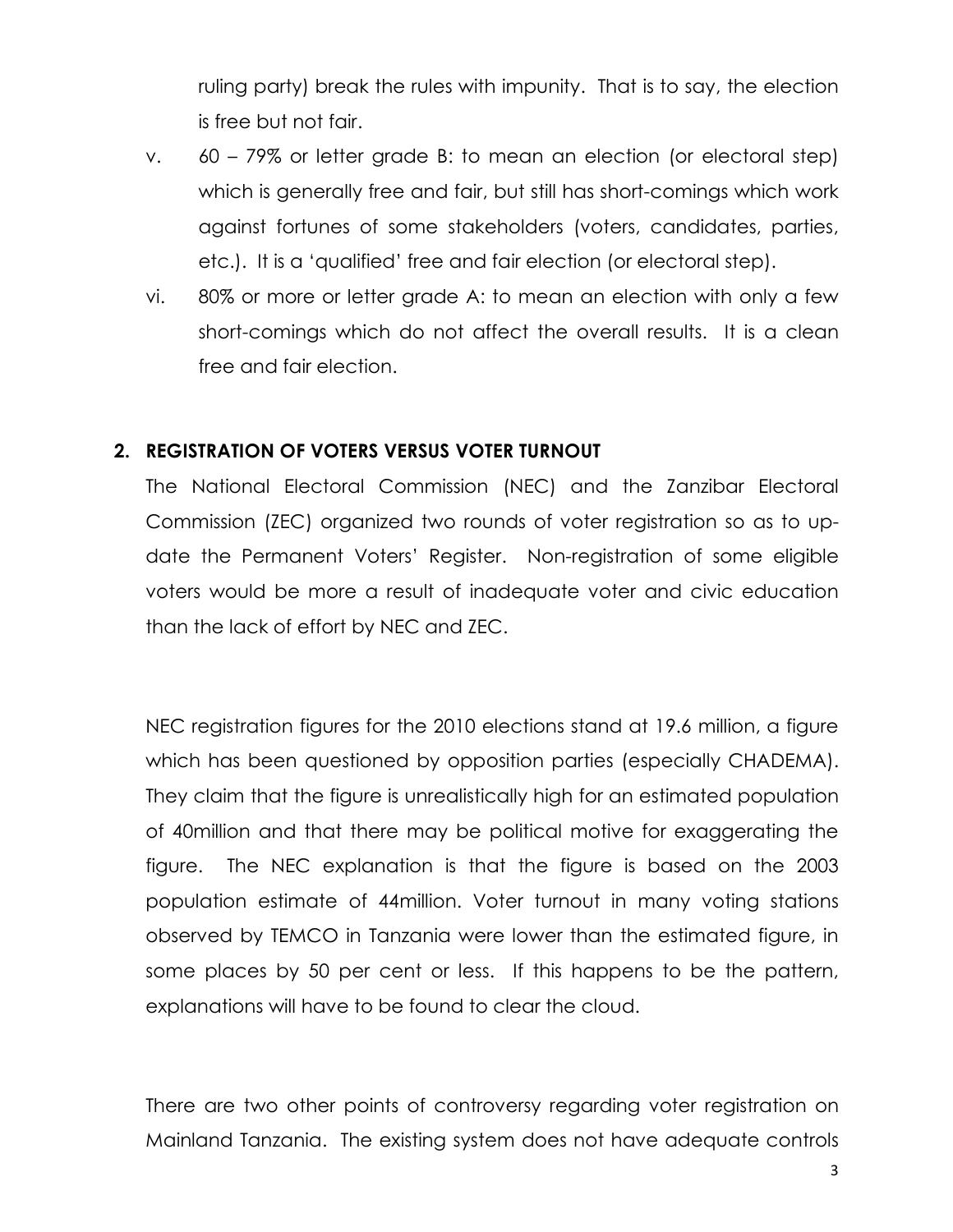ruling party) break the rules with impunity. That is to say, the election is free but not fair.

- v. 60 79% or letter grade B: to mean an election (or electoral step) which is generally free and fair, but still has short-comings which work against fortunes of some stakeholders (voters, candidates, parties, etc.). It is a 'qualified' free and fair election (or electoral step).
- vi. 80% or more or letter grade A: to mean an election with only a few short-comings which do not affect the overall results. It is a clean free and fair election.

#### 2. REGISTRATION OF VOTERS VERSUS VOTER TURNOUT

The National Electoral Commission (NEC) and the Zanzibar Electoral Commission (ZEC) organized two rounds of voter registration so as to update the Permanent Voters' Register. Non-registration of some eligible voters would be more a result of inadequate voter and civic education than the lack of effort by NEC and ZEC.

NEC registration figures for the 2010 elections stand at 19.6 million, a figure which has been questioned by opposition parties (especially CHADEMA). They claim that the figure is unrealistically high for an estimated population of 40million and that there may be political motive for exaggerating the figure. The NEC explanation is that the figure is based on the 2003 population estimate of 44million. Voter turnout in many voting stations observed by TEMCO in Tanzania were lower than the estimated figure, in some places by 50 per cent or less. If this happens to be the pattern, explanations will have to be found to clear the cloud.

There are two other points of controversy regarding voter registration on Mainland Tanzania. The existing system does not have adequate controls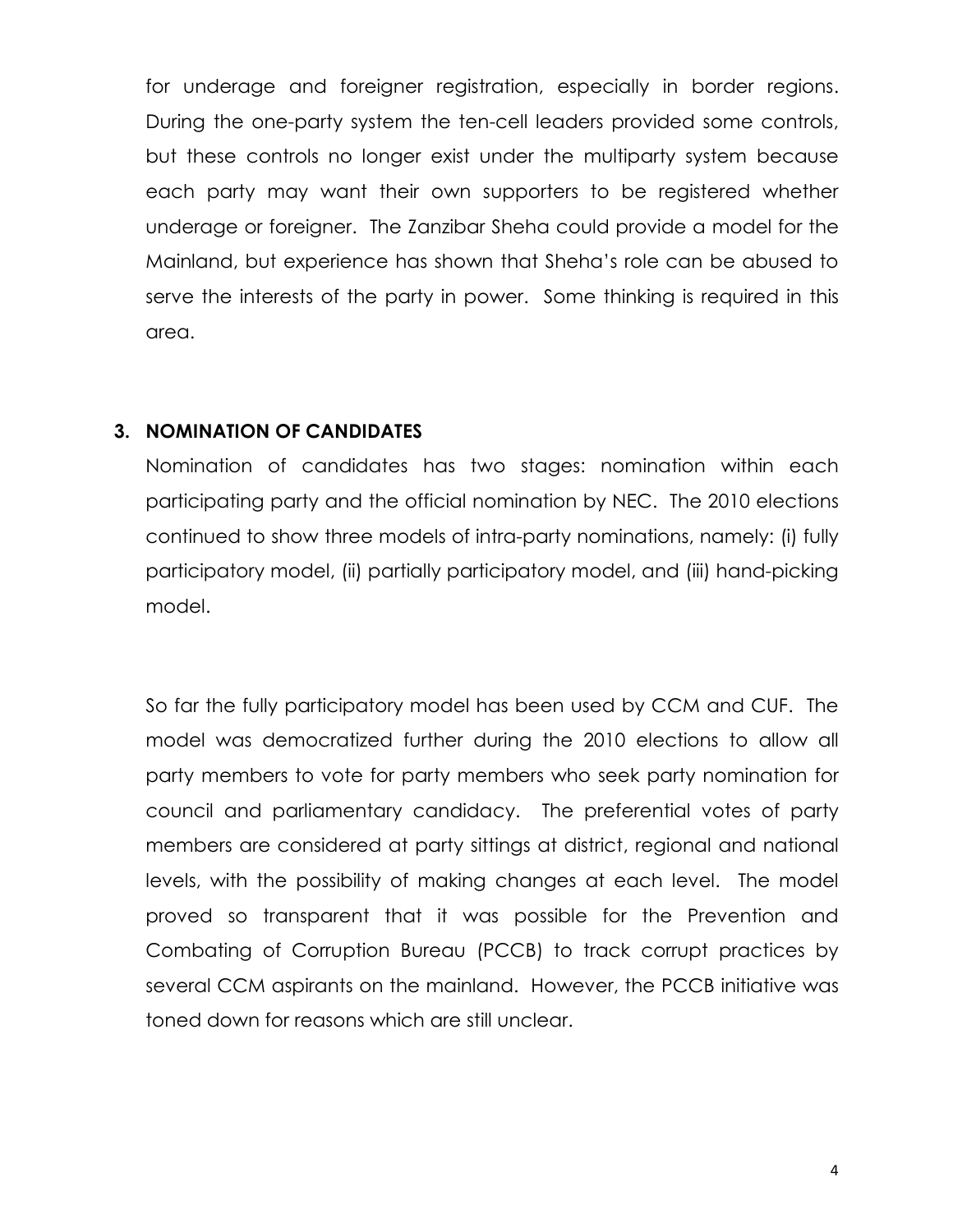for underage and foreigner registration, especially in border regions. During the one-party system the ten-cell leaders provided some controls, but these controls no longer exist under the multiparty system because each party may want their own supporters to be registered whether underage or foreigner. The Zanzibar Sheha could provide a model for the Mainland, but experience has shown that Sheha's role can be abused to serve the interests of the party in power. Some thinking is required in this area.

#### 3. NOMINATION OF CANDIDATES

Nomination of candidates has two stages: nomination within each participating party and the official nomination by NEC. The 2010 elections continued to show three models of intra-party nominations, namely: (i) fully participatory model, (ii) partially participatory model, and (iii) hand-picking model.

So far the fully participatory model has been used by CCM and CUF. The model was democratized further during the 2010 elections to allow all party members to vote for party members who seek party nomination for council and parliamentary candidacy. The preferential votes of party members are considered at party sittings at district, regional and national levels, with the possibility of making changes at each level. The model proved so transparent that it was possible for the Prevention and Combating of Corruption Bureau (PCCB) to track corrupt practices by several CCM aspirants on the mainland. However, the PCCB initiative was toned down for reasons which are still unclear.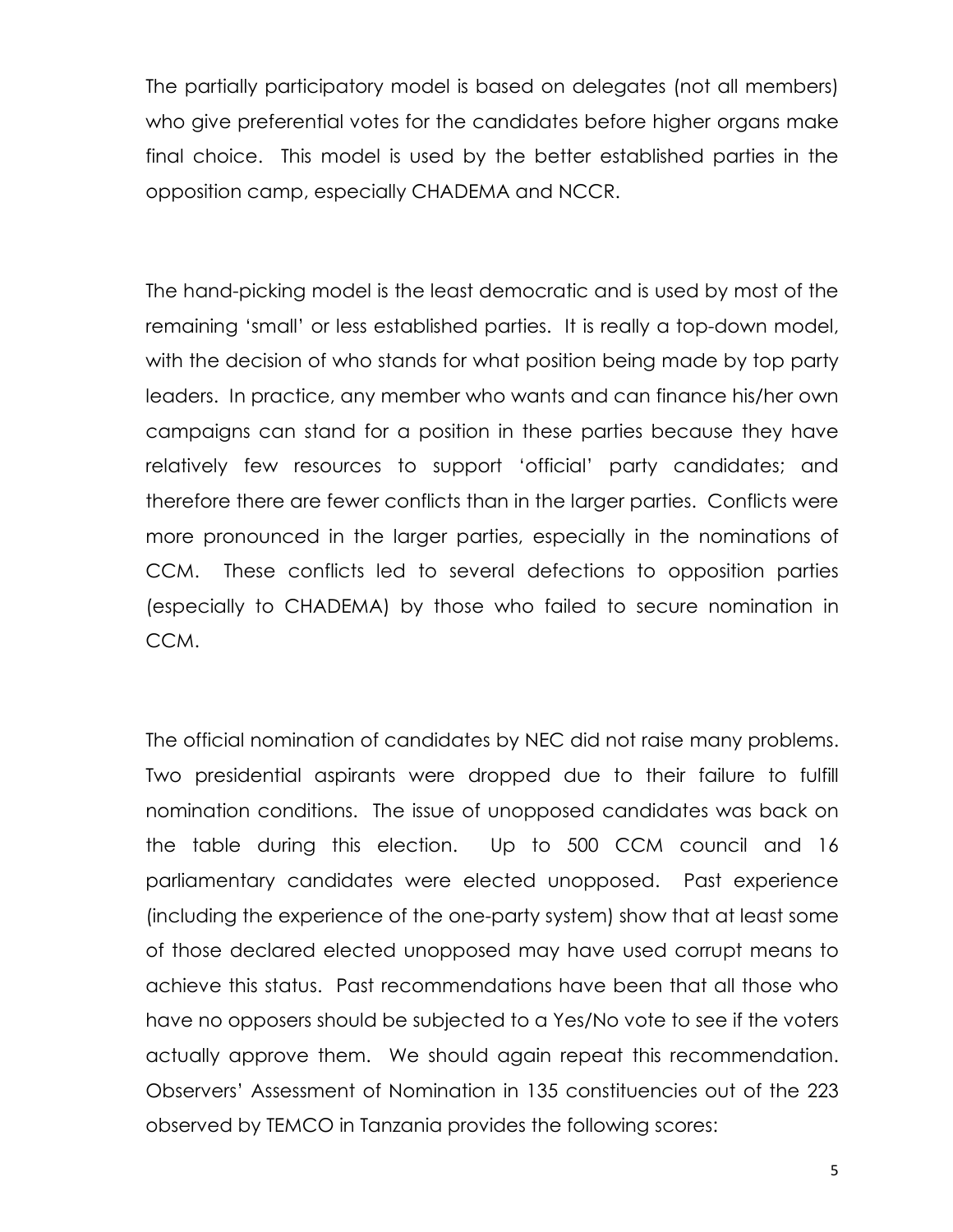The partially participatory model is based on delegates (not all members) who give preferential votes for the candidates before higher organs make final choice. This model is used by the better established parties in the opposition camp, especially CHADEMA and NCCR.

The hand-picking model is the least democratic and is used by most of the remaining 'small' or less established parties. It is really a top-down model, with the decision of who stands for what position being made by top party leaders. In practice, any member who wants and can finance his/her own campaigns can stand for a position in these parties because they have relatively few resources to support 'official' party candidates; and therefore there are fewer conflicts than in the larger parties. Conflicts were more pronounced in the larger parties, especially in the nominations of CCM. These conflicts led to several defections to opposition parties (especially to CHADEMA) by those who failed to secure nomination in CCM.

The official nomination of candidates by NEC did not raise many problems. Two presidential aspirants were dropped due to their failure to fulfill nomination conditions. The issue of unopposed candidates was back on the table during this election. Up to 500 CCM council and 16 parliamentary candidates were elected unopposed. Past experience (including the experience of the one-party system) show that at least some of those declared elected unopposed may have used corrupt means to achieve this status. Past recommendations have been that all those who have no opposers should be subjected to a Yes/No vote to see if the voters actually approve them. We should again repeat this recommendation. Observers' Assessment of Nomination in 135 constituencies out of the 223 observed by TEMCO in Tanzania provides the following scores: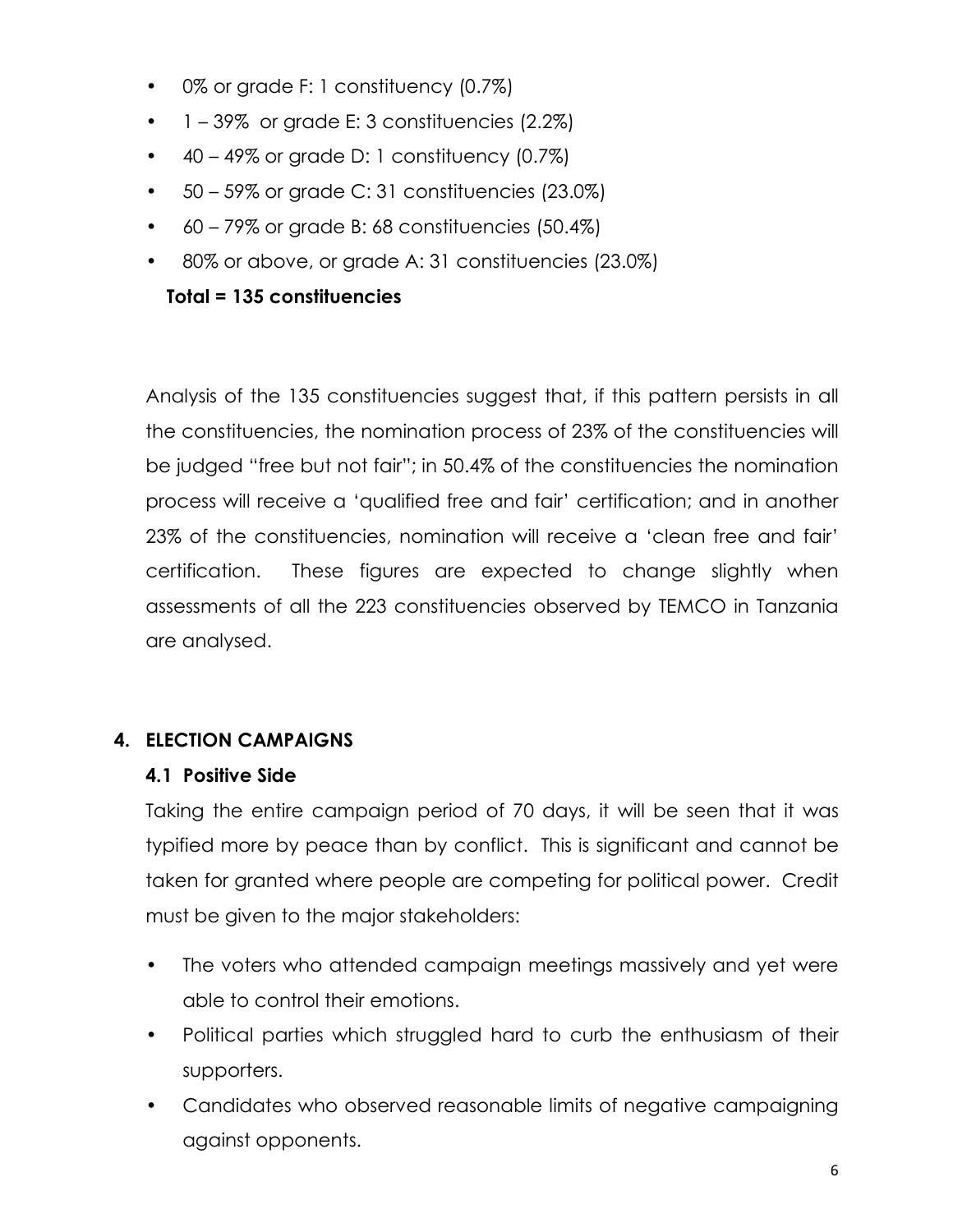- 0% or grade F: 1 constituency (0.7%)
- $\bullet$  1 39% or grade E: 3 constituencies (2.2%)
- $\bullet$  40 49% or grade D: 1 constituency (0.7%)
- $\bullet$  50 59% or grade C: 31 constituencies (23.0%)
- 60 79% or grade B: 68 constituencies (50.4%)
- 80% or above, or grade A: 31 constituencies (23.0%)

# Total = 135 constituencies

Analysis of the 135 constituencies suggest that, if this pattern persists in all the constituencies, the nomination process of 23% of the constituencies will be judged "free but not fair"; in 50.4% of the constituencies the nomination process will receive a 'qualified free and fair' certification; and in another 23% of the constituencies, nomination will receive a 'clean free and fair' certification. These figures are expected to change slightly when assessments of all the 223 constituencies observed by TEMCO in Tanzania are analysed.

# 4. ELECTION CAMPAIGNS

# 4.1 Positive Side

Taking the entire campaign period of 70 days, it will be seen that it was typified more by peace than by conflict. This is significant and cannot be taken for granted where people are competing for political power. Credit must be given to the major stakeholders:

- The voters who attended campaign meetings massively and yet were able to control their emotions.
- Political parties which struggled hard to curb the enthusiasm of their supporters.
- Candidates who observed reasonable limits of negative campaigning against opponents.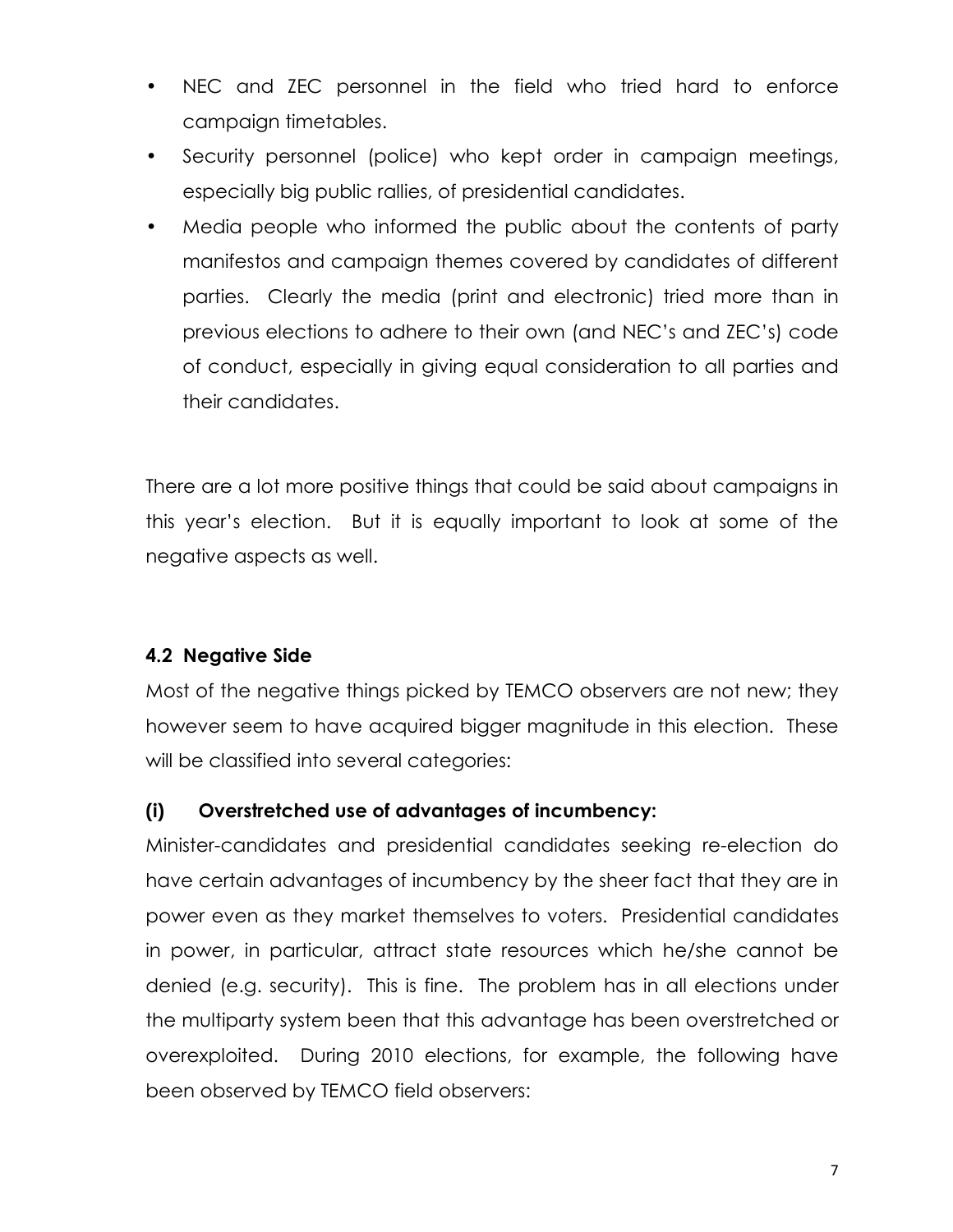- NEC and ZEC personnel in the field who tried hard to enforce campaign timetables.
- Security personnel (police) who kept order in campaign meetings, especially big public rallies, of presidential candidates.
- Media people who informed the public about the contents of party manifestos and campaign themes covered by candidates of different parties. Clearly the media (print and electronic) tried more than in previous elections to adhere to their own (and NEC's and ZEC's) code of conduct, especially in giving equal consideration to all parties and their candidates.

There are a lot more positive things that could be said about campaigns in this year's election. But it is equally important to look at some of the negative aspects as well.

# 4.2 Negative Side

Most of the negative things picked by TEMCO observers are not new; they however seem to have acquired bigger magnitude in this election. These will be classified into several categories:

# (i) Overstretched use of advantages of incumbency:

Minister-candidates and presidential candidates seeking re-election do have certain advantages of incumbency by the sheer fact that they are in power even as they market themselves to voters. Presidential candidates in power, in particular, attract state resources which he/she cannot be denied (e.g. security). This is fine. The problem has in all elections under the multiparty system been that this advantage has been overstretched or overexploited. During 2010 elections, for example, the following have been observed by TEMCO field observers: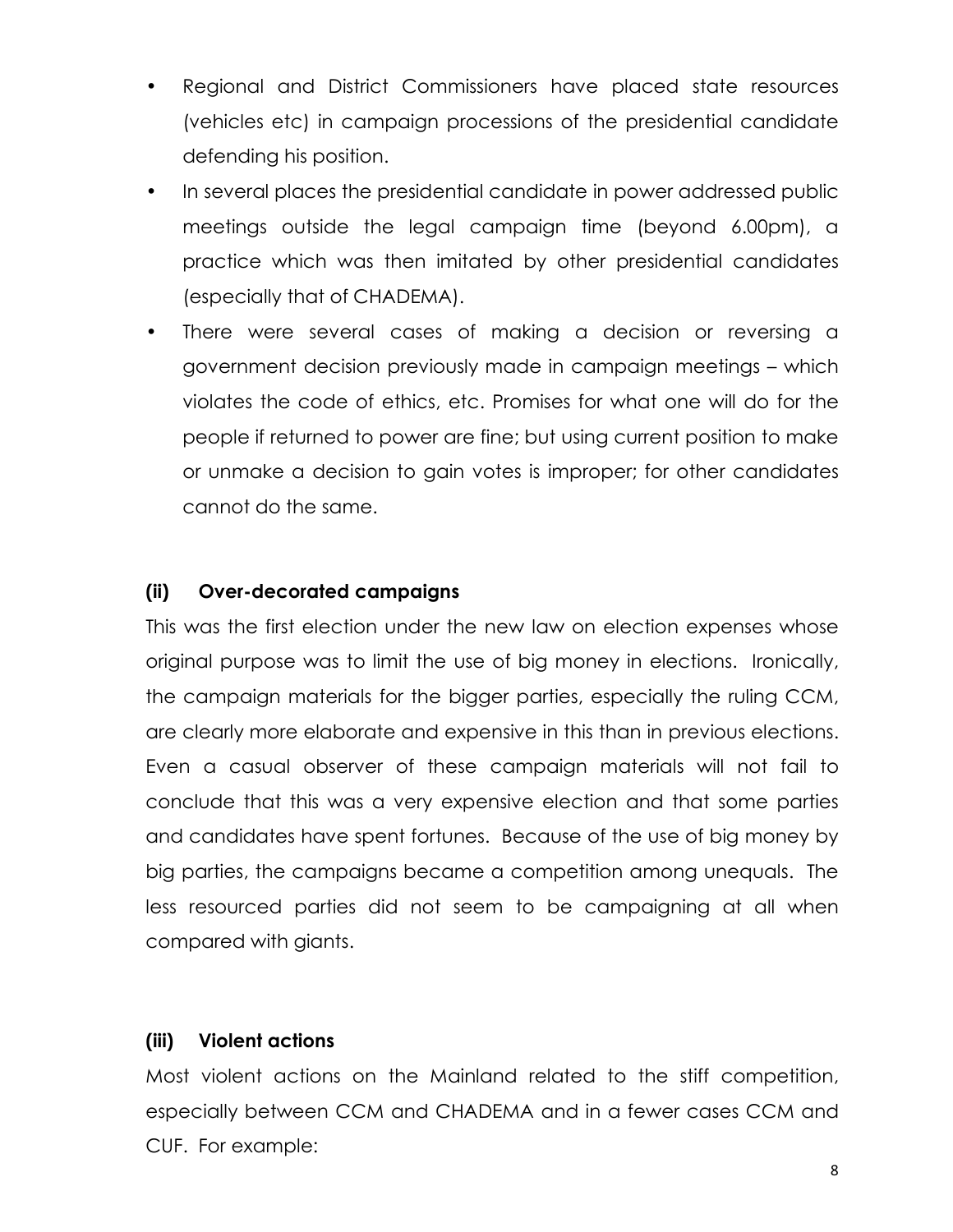- Regional and District Commissioners have placed state resources (vehicles etc) in campaign processions of the presidential candidate defending his position.
- In several places the presidential candidate in power addressed public meetings outside the legal campaign time (beyond 6.00pm), a practice which was then imitated by other presidential candidates (especially that of CHADEMA).
- There were several cases of making a decision or reversing a government decision previously made in campaign meetings – which violates the code of ethics, etc. Promises for what one will do for the people if returned to power are fine; but using current position to make or unmake a decision to gain votes is improper; for other candidates cannot do the same.

# (ii) Over-decorated campaigns

This was the first election under the new law on election expenses whose original purpose was to limit the use of big money in elections. Ironically, the campaign materials for the bigger parties, especially the ruling CCM, are clearly more elaborate and expensive in this than in previous elections. Even a casual observer of these campaign materials will not fail to conclude that this was a very expensive election and that some parties and candidates have spent fortunes. Because of the use of big money by big parties, the campaigns became a competition among unequals. The less resourced parties did not seem to be campaigning at all when compared with giants.

#### (iii) Violent actions

Most violent actions on the Mainland related to the stiff competition, especially between CCM and CHADEMA and in a fewer cases CCM and CUF. For example: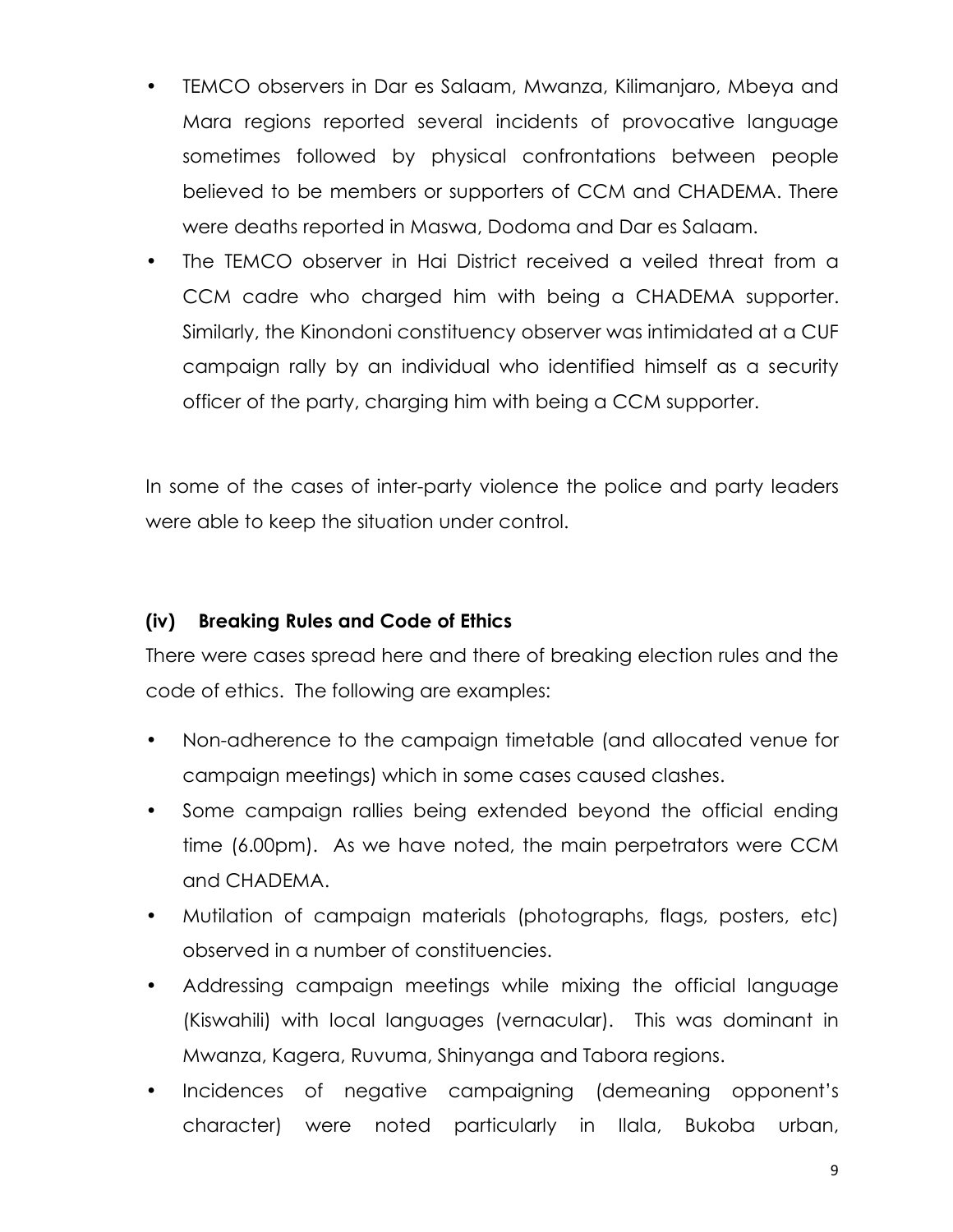- TEMCO observers in Dar es Salaam, Mwanza, Kilimanjaro, Mbeya and Mara regions reported several incidents of provocative language sometimes followed by physical confrontations between people believed to be members or supporters of CCM and CHADEMA. There were deaths reported in Maswa, Dodoma and Dar es Salaam.
- The TEMCO observer in Hai District received a veiled threat from a CCM cadre who charged him with being a CHADEMA supporter. Similarly, the Kinondoni constituency observer was intimidated at a CUF campaign rally by an individual who identified himself as a security officer of the party, charging him with being a CCM supporter.

In some of the cases of inter-party violence the police and party leaders were able to keep the situation under control.

# (iv) Breaking Rules and Code of Ethics

There were cases spread here and there of breaking election rules and the code of ethics. The following are examples:

- Non-adherence to the campaign timetable (and allocated venue for campaign meetings) which in some cases caused clashes.
- Some campaign rallies being extended beyond the official ending time (6.00pm). As we have noted, the main perpetrators were CCM and CHADEMA.
- Mutilation of campaign materials (photographs, flags, posters, etc) observed in a number of constituencies.
- Addressing campaign meetings while mixing the official language (Kiswahili) with local languages (vernacular). This was dominant in Mwanza, Kagera, Ruvuma, Shinyanga and Tabora regions.
- Incidences of negative campaigning (demeaning opponent's character) were noted particularly in Ilala, Bukoba urban,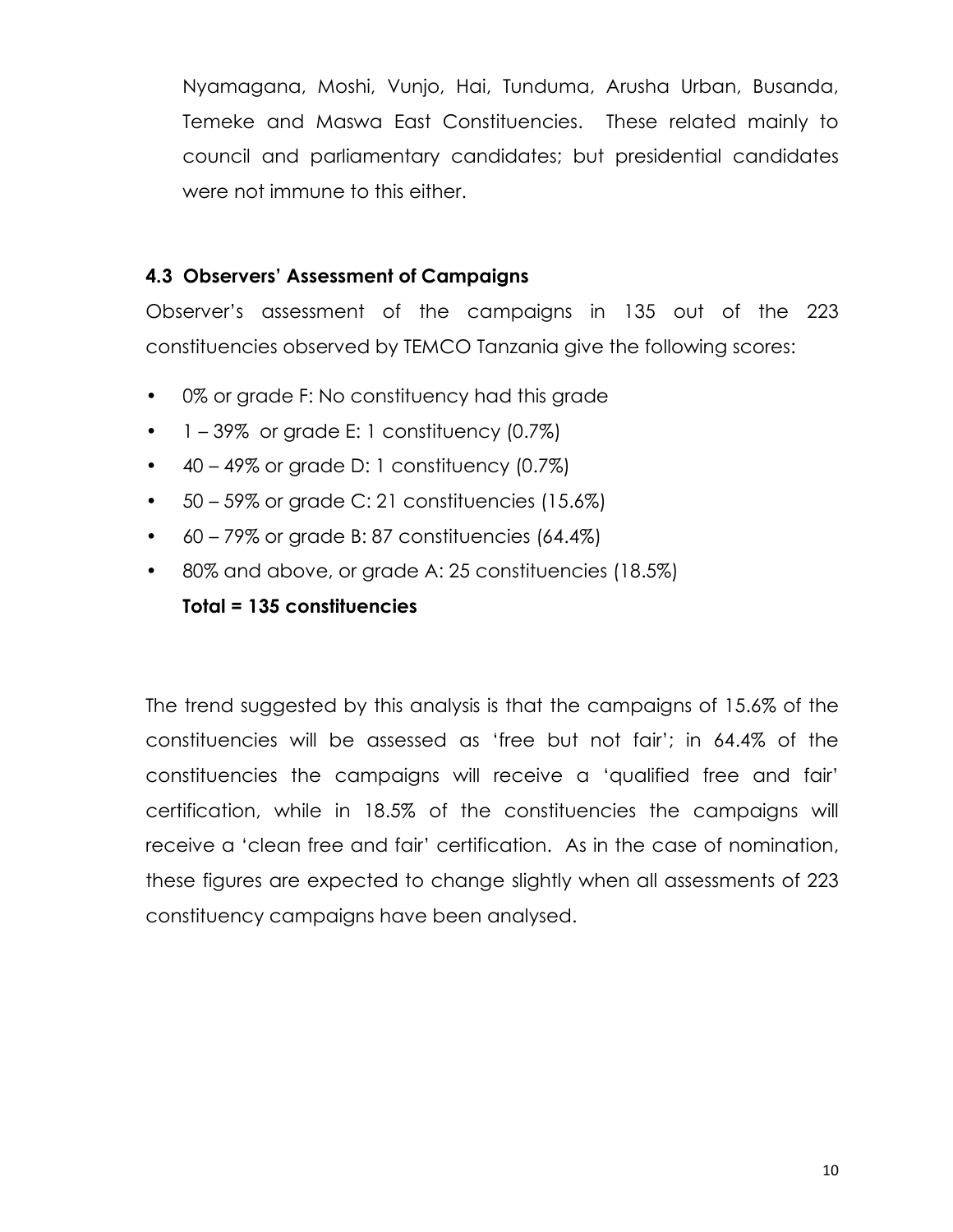Nyamagana, Moshi, Vunjo, Hai, Tunduma, Arusha Urban, Busanda, Temeke and Maswa East Constituencies. These related mainly to council and parliamentary candidates; but presidential candidates were not immune to this either.

#### 4.3 Observers' Assessment of Campaigns

Observer's assessment of the campaigns in 135 out of the 223 constituencies observed by TEMCO Tanzania give the following scores:

- 0% or grade F: No constituency had this grade
- $\bullet$  1 39% or grade E: 1 constituency (0.7%)
- $\bullet$  40 49% or grade D: 1 constituency (0.7%)
- $\bullet$  50 59% or grade C: 21 constituencies (15.6%)
- $\bullet$  60 79% or grade B: 87 constituencies (64.4%)
- 80% and above, or grade A: 25 constituencies (18.5%)

# Total = 135 constituencies

The trend suggested by this analysis is that the campaigns of 15.6% of the constituencies will be assessed as 'free but not fair'; in 64.4% of the constituencies the campaigns will receive a 'qualified free and fair' certification, while in 18.5% of the constituencies the campaigns will receive a 'clean free and fair' certification. As in the case of nomination, these figures are expected to change slightly when all assessments of 223 constituency campaigns have been analysed.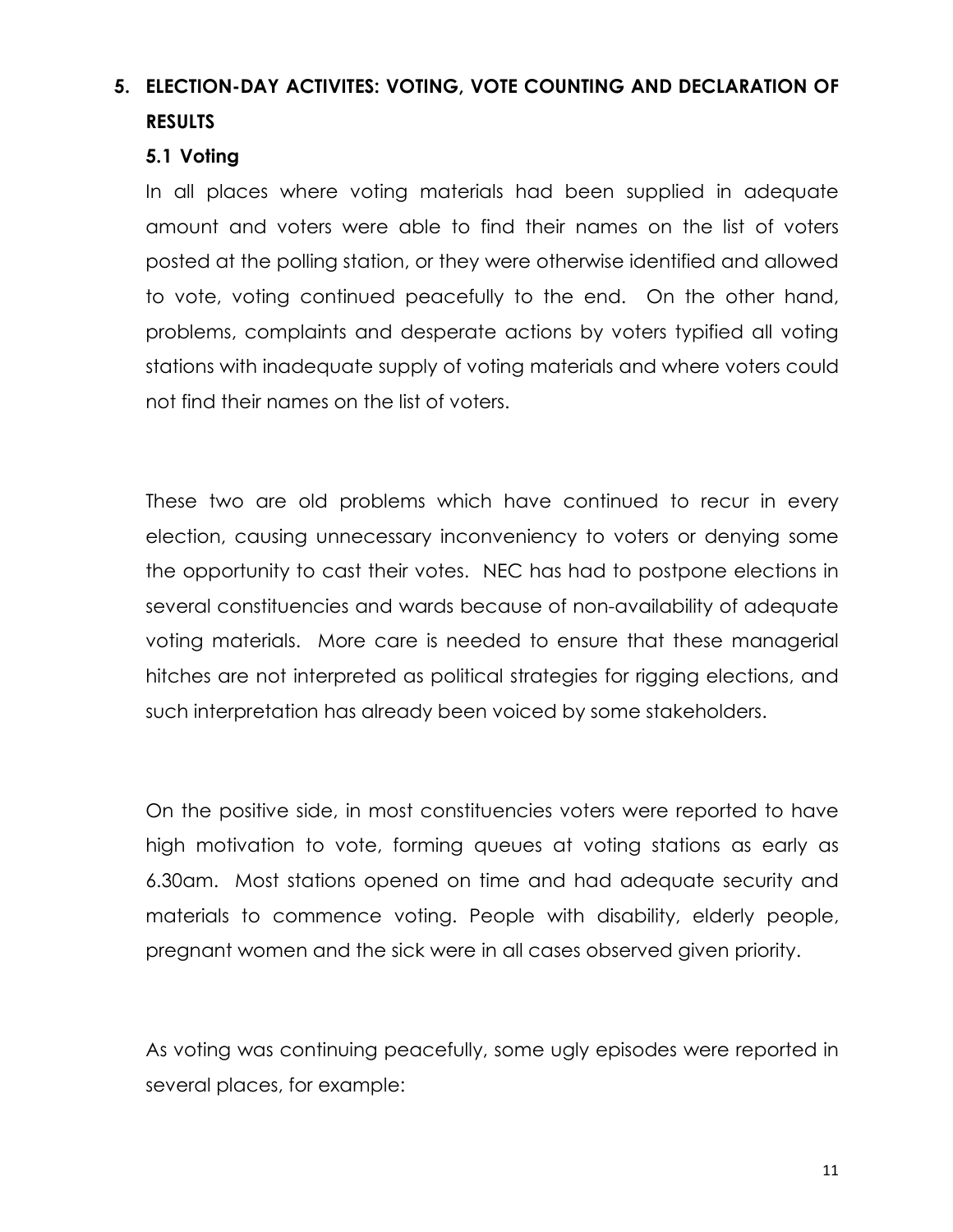# 5. ELECTION-DAY ACTIVITES: VOTING, VOTE COUNTING AND DECLARATION OF RESULTS

#### 5.1 Voting

In all places where voting materials had been supplied in adequate amount and voters were able to find their names on the list of voters posted at the polling station, or they were otherwise identified and allowed to vote, voting continued peacefully to the end. On the other hand, problems, complaints and desperate actions by voters typified all voting stations with inadequate supply of voting materials and where voters could not find their names on the list of voters.

These two are old problems which have continued to recur in every election, causing unnecessary inconveniency to voters or denying some the opportunity to cast their votes. NEC has had to postpone elections in several constituencies and wards because of non-availability of adequate voting materials. More care is needed to ensure that these managerial hitches are not interpreted as political strategies for rigging elections, and such interpretation has already been voiced by some stakeholders.

On the positive side, in most constituencies voters were reported to have high motivation to vote, forming queues at voting stations as early as 6.30am. Most stations opened on time and had adequate security and materials to commence voting. People with disability, elderly people, pregnant women and the sick were in all cases observed given priority.

As voting was continuing peacefully, some ugly episodes were reported in several places, for example: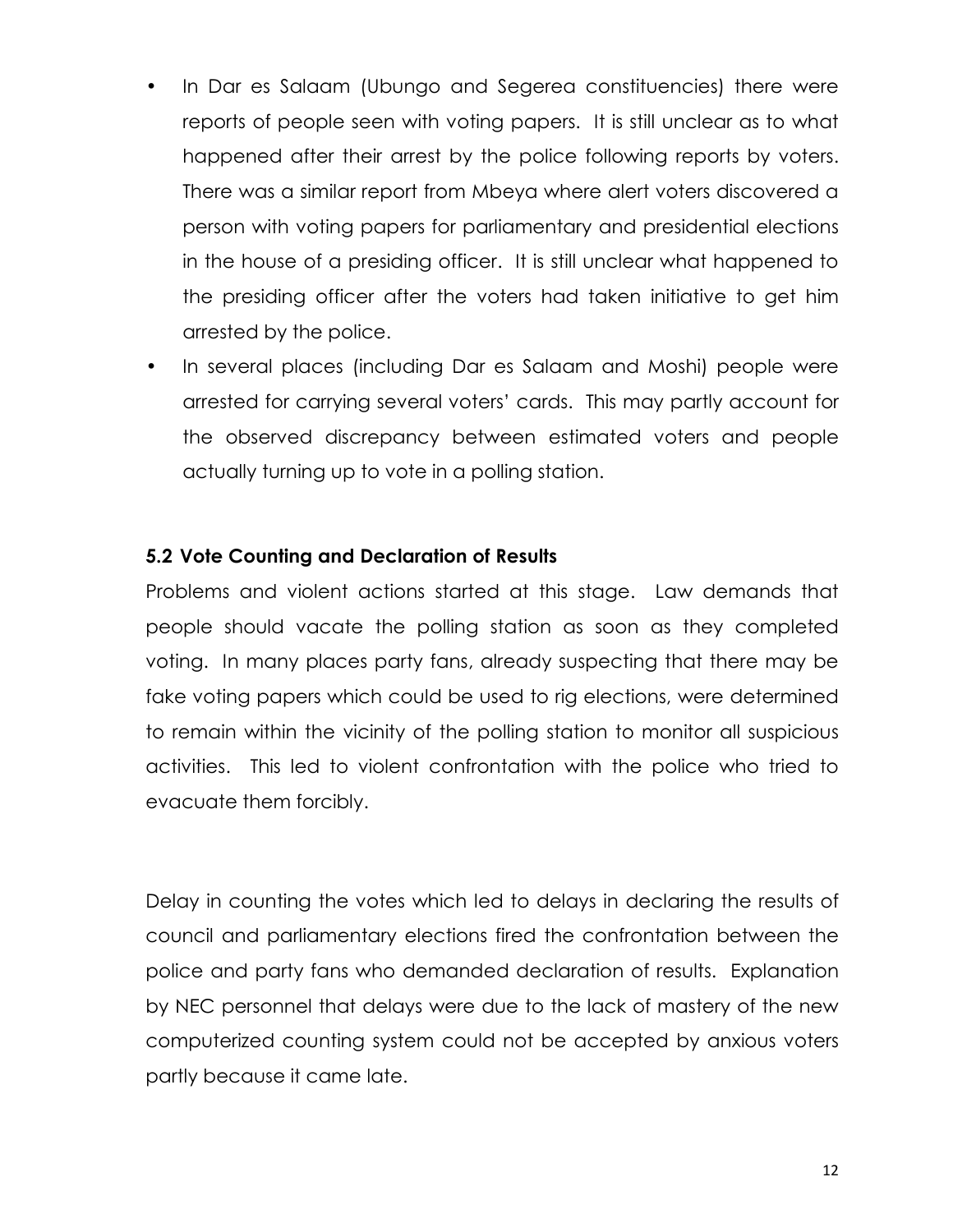- In Dar es Salaam (Ubungo and Segerea constituencies) there were reports of people seen with voting papers. It is still unclear as to what happened after their arrest by the police following reports by voters. There was a similar report from Mbeya where alert voters discovered a person with voting papers for parliamentary and presidential elections in the house of a presiding officer. It is still unclear what happened to the presiding officer after the voters had taken initiative to get him arrested by the police.
- In several places (including Dar es Salaam and Moshi) people were arrested for carrying several voters' cards. This may partly account for the observed discrepancy between estimated voters and people actually turning up to vote in a polling station.

#### 5.2 Vote Counting and Declaration of Results

Problems and violent actions started at this stage. Law demands that people should vacate the polling station as soon as they completed voting. In many places party fans, already suspecting that there may be fake voting papers which could be used to rig elections, were determined to remain within the vicinity of the polling station to monitor all suspicious activities. This led to violent confrontation with the police who tried to evacuate them forcibly.

Delay in counting the votes which led to delays in declaring the results of council and parliamentary elections fired the confrontation between the police and party fans who demanded declaration of results. Explanation by NEC personnel that delays were due to the lack of mastery of the new computerized counting system could not be accepted by anxious voters partly because it came late.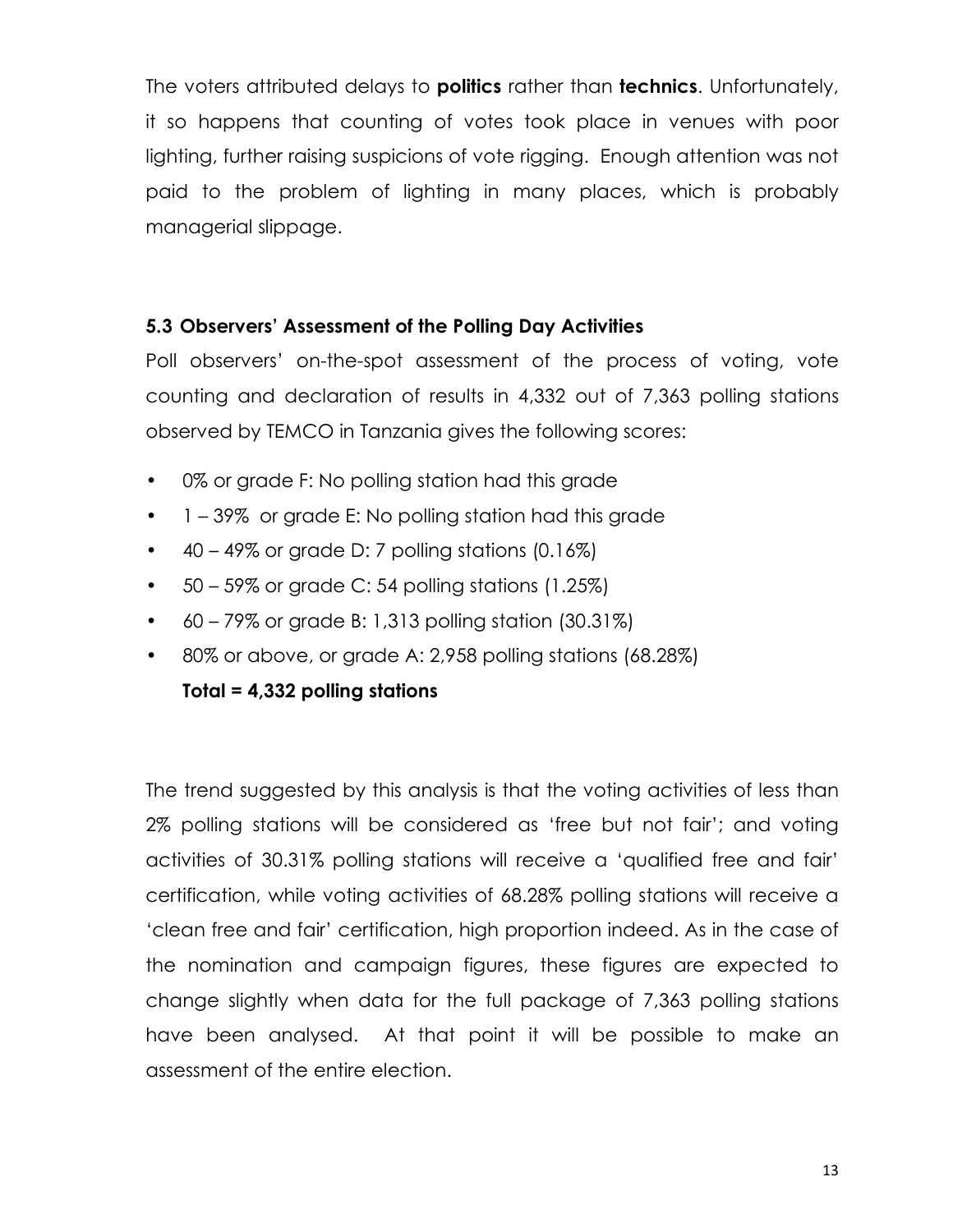The voters attributed delays to **politics** rather than **technics**. Unfortunately, it so happens that counting of votes took place in venues with poor lighting, further raising suspicions of vote rigging. Enough attention was not paid to the problem of lighting in many places, which is probably managerial slippage.

#### 5.3 Observers' Assessment of the Polling Day Activities

Poll observers' on-the-spot assessment of the process of voting, vote counting and declaration of results in 4,332 out of 7,363 polling stations observed by TEMCO in Tanzania gives the following scores:

- 0% or grade F: No polling station had this grade
- 1 39% or grade E: No polling station had this grade
- $\bullet$  40 49% or grade D: 7 polling stations (0.16%)
- 50 59% or grade C: 54 polling stations (1.25%)
- 60 79% or grade B: 1,313 polling station (30.31%)
- 80% or above, or grade A: 2,958 polling stations (68.28%)

# Total = 4,332 polling stations

The trend suggested by this analysis is that the voting activities of less than 2% polling stations will be considered as 'free but not fair'; and voting activities of 30.31% polling stations will receive a 'qualified free and fair' certification, while voting activities of 68.28% polling stations will receive a 'clean free and fair' certification, high proportion indeed. As in the case of the nomination and campaign figures, these figures are expected to change slightly when data for the full package of 7,363 polling stations have been analysed. At that point it will be possible to make an assessment of the entire election.